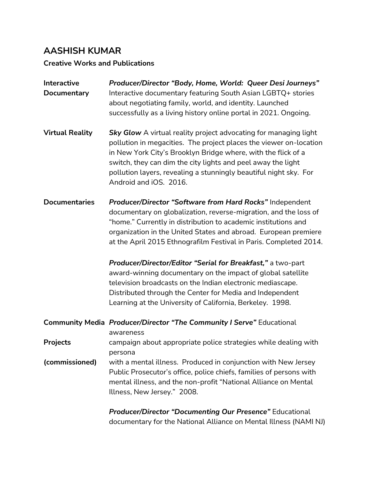### **AASHISH KUMAR**

#### **Creative Works and Publications**

| Interactive<br>Documentary | Producer/Director "Body, Home, World: Queer Desi Journeys"<br>Interactive documentary featuring South Asian LGBTQ+ stories<br>about negotiating family, world, and identity. Launched<br>successfully as a living history online portal in 2021. Ongoing.                                                                                                                     |
|----------------------------|-------------------------------------------------------------------------------------------------------------------------------------------------------------------------------------------------------------------------------------------------------------------------------------------------------------------------------------------------------------------------------|
| <b>Virtual Reality</b>     | <b>Sky Glow</b> A virtual reality project advocating for managing light<br>pollution in megacities. The project places the viewer on-location<br>in New York City's Brooklyn Bridge where, with the flick of a<br>switch, they can dim the city lights and peel away the light<br>pollution layers, revealing a stunningly beautiful night sky. For<br>Android and iOS. 2016. |
| <b>Documentaries</b>       | Producer/Director "Software from Hard Rocks" Independent<br>documentary on globalization, reverse-migration, and the loss of<br>"home." Currently in distribution to academic institutions and<br>organization in the United States and abroad. European premiere<br>at the April 2015 Ethnografilm Festival in Paris. Completed 2014.                                        |
|                            | Producer/Director/Editor "Serial for Breakfast," a two-part<br>award-winning documentary on the impact of global satellite<br>television broadcasts on the Indian electronic mediascape.<br>Distributed through the Center for Media and Independent<br>Learning at the University of California, Berkeley. 1998.                                                             |
|                            | <b>Community Media Producer/Director "The Community I Serve"</b> Educational<br>awareness                                                                                                                                                                                                                                                                                     |
| Projects                   | campaign about appropriate police strategies while dealing with<br>persona                                                                                                                                                                                                                                                                                                    |
| (commissioned)             | with a mental illness. Produced in conjunction with New Jersey<br>Public Prosecutor's office, police chiefs, families of persons with<br>mental illness, and the non-profit "National Alliance on Mental<br>Illness, New Jersey." 2008.                                                                                                                                       |
|                            | Producer/Director "Documenting Our Presence" Educational                                                                                                                                                                                                                                                                                                                      |

documentary for the National Alliance on Mental Illness (NAMI NJ)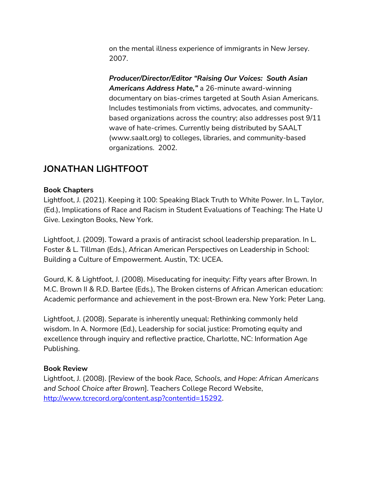on the mental illness experience of immigrants in New Jersey. 2007.

*Producer/Director/Editor "Raising Our Voices: South Asian Americans Address Hate,"* a 26-minute award-winning documentary on bias-crimes targeted at South Asian Americans. Includes testimonials from victims, advocates, and communitybased organizations across the country; also addresses post 9/11 wave of hate-crimes. Currently being distributed by SAALT (www.saalt.org) to colleges, libraries, and community-based organizations. 2002.

### **JONATHAN LIGHTFOOT**

#### **Book Chapters**

Lightfoot, J. (2021). Keeping it 100: Speaking Black Truth to White Power. In L. Taylor, (Ed.), Implications of Race and Racism in Student Evaluations of Teaching: The Hate U Give. Lexington Books, New York.

Lightfoot, J. (2009). Toward a praxis of antiracist school leadership preparation. In L. Foster & L. Tillman (Eds.), African American Perspectives on Leadership in School: Building a Culture of Empowerment. Austin, TX: UCEA.

Gourd, K. & Lightfoot, J. (2008). Miseducating for inequity: Fifty years after Brown. In M.C. Brown II & R.D. Bartee (Eds.), The Broken cisterns of African American education: Academic performance and achievement in the post-Brown era. New York: Peter Lang.

Lightfoot, J. (2008). Separate is inherently unequal: Rethinking commonly held wisdom. In A. Normore (Ed.), Leadership for social justice: Promoting equity and excellence through inquiry and reflective practice, Charlotte, NC: Information Age Publishing.

#### **Book Review**

Lightfoot, J. (2008). [Review of the book *Race, Schools, and Hope: African Americans and School Choice after Brown*]. Teachers College Record Website, [http://www.tcrecord.org/content.asp?contentid=15292.](http://www.tcrecord.org/content.asp?contentid=15292)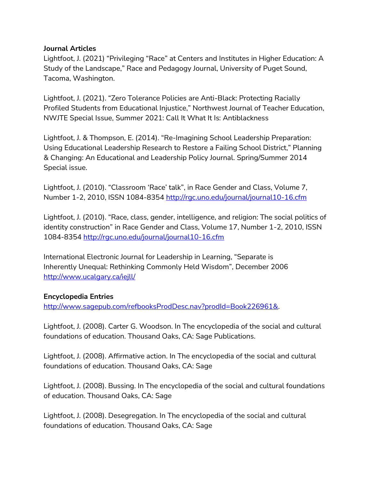#### **Journal Articles**

Lightfoot, J. (2021) "Privileging "Race" at Centers and Institutes in Higher Education: A Study of the Landscape," Race and Pedagogy Journal, University of Puget Sound, Tacoma, Washington.

Lightfoot, J. (2021). "Zero Tolerance Policies are Anti-Black: Protecting Racially Profiled Students from Educational Injustice," Northwest Journal of Teacher Education, NWJTE Special Issue, Summer 2021: Call It What It Is: Antiblackness

Lightfoot, J. & Thompson, E. (2014). "Re-Imagining School Leadership Preparation: Using Educational Leadership Research to Restore a Failing School District," Planning & Changing: An Educational and Leadership Policy Journal. Spring/Summer 2014 Special issue.

Lightfoot, J. (2010). "Classroom 'Race' talk", in Race Gender and Class, Volume 7, Number 1-2, 2010, ISSN 1084-8354<http://rgc.uno.edu/journal/journal10-16.cfm>

Lightfoot, J. (2010). "Race, class, gender, intelligence, and religion: The social politics of identity construction" in Race Gender and Class, Volume 17, Number 1-2, 2010, ISSN 1084-8354<http://rgc.uno.edu/journal/journal10-16.cfm>

International Electronic Journal for Leadership in Learning, "Separate is Inherently Unequal: Rethinking Commonly Held Wisdom", December 2006 <http://www.ucalgary.ca/iejll/>

#### **Encyclopedia Entries**

[http://www.sagepub.com/refbooksProdDesc.nav?prodId=Book226961&.](http://www.sagepub.com/refbooksProdDesc.nav?prodId=Book226961&)

Lightfoot, J. (2008). Carter G. Woodson. In The encyclopedia of the social and cultural foundations of education. Thousand Oaks, CA: Sage Publications.

Lightfoot, J. (2008). Affirmative action. In The encyclopedia of the social and cultural foundations of education. Thousand Oaks, CA: Sage

Lightfoot, J. (2008). Bussing. In The encyclopedia of the social and cultural foundations of education. Thousand Oaks, CA: Sage

Lightfoot, J. (2008). Desegregation. In The encyclopedia of the social and cultural foundations of education. Thousand Oaks, CA: Sage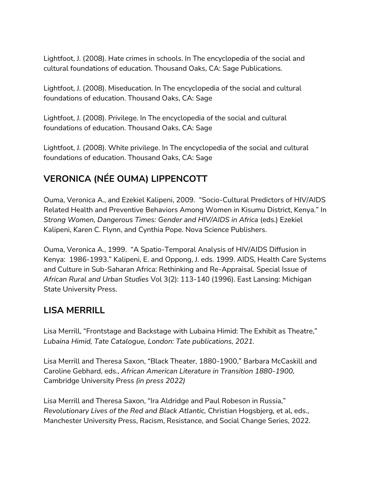Lightfoot, J. (2008). Hate crimes in schools. In The encyclopedia of the social and cultural foundations of education. Thousand Oaks, CA: Sage Publications.

Lightfoot, J. (2008). Miseducation. In The encyclopedia of the social and cultural foundations of education. Thousand Oaks, CA: Sage

Lightfoot, J. (2008). Privilege. In The encyclopedia of the social and cultural foundations of education. Thousand Oaks, CA: Sage

Lightfoot, J. (2008). White privilege. In The encyclopedia of the social and cultural foundations of education. Thousand Oaks, CA: Sage

# **VERONICA (NÉE OUMA) LIPPENCOTT**

Ouma, Veronica A., and Ezekiel Kalipeni, 2009. "Socio-Cultural Predictors of HIV/AIDS Related Health and Preventive Behaviors Among Women in Kisumu District, Kenya." In *Strong Women, Dangerous Times: Gender and HIV/AIDS in Africa* (eds.) Ezekiel Kalipeni, Karen C. Flynn, and Cynthia Pope. Nova Science Publishers.

Ouma, Veronica A., 1999. "A Spatio-Temporal Analysis of HIV/AIDS Diffusion in Kenya: 1986-1993." Kalipeni, E. and Oppong, J. eds. 1999. AIDS, Health Care Systems and Culture in Sub-Saharan Africa: Rethinking and Re-Appraisal. Special Issue of *African Rural and Urban Studies* Vol 3(2): 113-140 (1996). East Lansing: Michigan State University Press.

### **LISA MERRILL**

Lisa Merrill, "Frontstage and Backstage with Lubaina Himid: The Exhibit as Theatre," *Lubaina Himid, Tate Catalogue, London: Tate publications, 2021.*

Lisa Merrill and Theresa Saxon, "Black Theater, 1880-1900," Barbara McCaskill and Caroline Gebhard, eds., *African American Literature in Transition 1880-1900,*  Cambridge University Press *(in press 2022)*

Lisa Merrill and Theresa Saxon, "Ira Aldridge and Paul Robeson in Russia," *Revolutionary Lives of the Red and Black Atlantic,* Christian Hogsbjerg, et al, eds., Manchester University Press, Racism, Resistance, and Social Change Series, 2022.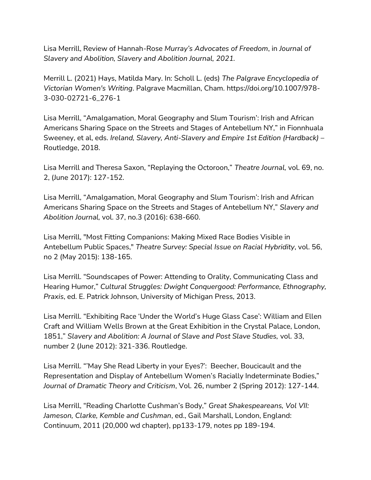Lisa Merrill, Review of Hannah-Rose *Murray's Advocates of Freedom*, in *Journal of Slavery and Abolition, Slavery and Abolition Journal, 2021.*

Merrill L. (2021) Hays, Matilda Mary. In: Scholl L. (eds) *The Palgrave Encyclopedia of Victorian Women's Writing*. Palgrave Macmillan, Cham. https://doi.org/10.1007/978- 3-030-02721-6\_276-1

Lisa Merrill, "Amalgamation, Moral Geography and Slum Tourism': Irish and African Americans Sharing Space on the Streets and Stages of Antebellum NY," in Fionnhuala Sweeney, et al, eds. *Ireland, Slavery, Anti-Slavery and Empire 1st Edition (Hardback) –* Routledge, 2018.

Lisa Merrill and Theresa Saxon, "Replaying the Octoroon," *Theatre Journal,* vol. 69, no. 2, (June 2017): 127-152.

Lisa Merrill, "Amalgamation, Moral Geography and Slum Tourism': Irish and African Americans Sharing Space on the Streets and Stages of Antebellum NY," *Slavery and Abolition Journal,* vol. 37, no.3 (2016): 638-660.

Lisa Merrill, "Most Fitting Companions: Making Mixed Race Bodies Visible in Antebellum Public Spaces," *Theatre Survey: Special Issue on Racial Hybridity*, vol. 56, no 2 (May 2015): 138-165.

Lisa Merrill. "Soundscapes of Power: Attending to Orality, Communicating Class and Hearing Humor," *Cultural Struggles: Dwight Conquergood: Performance, Ethnography, Praxis*, ed. E. Patrick Johnson, University of Michigan Press, 2013.

Lisa Merrill. "Exhibiting Race 'Under the World's Huge Glass Case': William and Ellen Craft and William Wells Brown at the Great Exhibition in the Crystal Palace, London, 1851," *Slavery and Abolition: A Journal of Slave and Post Slave Studies,* vol. 33, number 2 (June 2012): 321-336. Routledge.

Lisa Merrill. "'May She Read Liberty in your Eyes?': Beecher, Boucicault and the Representation and Display of Antebellum Women's Racially Indeterminate Bodies," *Journal of Dramatic Theory and Criticism*, Vol. 26, number 2 (Spring 2012): 127-144.

Lisa Merrill, "Reading Charlotte Cushman's Body," *Great Shakespeareans, Vol VII: Jameson, Clarke, Kemble and Cushman*, ed., Gail Marshall, London, England: Continuum, 2011 (20,000 wd chapter), pp133-179, notes pp 189-194.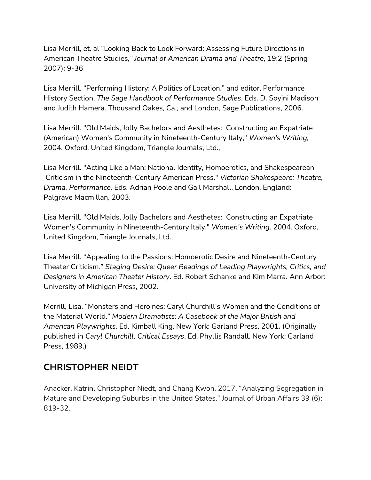Lisa Merrill, et. al "Looking Back to Look Forward: Assessing Future Directions in American Theatre Studies*," Journal of American Drama and Theatre*, 19:2 (Spring 2007): 9-36

Lisa Merrill. "Performing History: A Politics of Location," and editor, Performance History Section, *The Sage Handbook of Performance Studies*, Eds. D. Soyini Madison and Judith Hamera. Thousand Oakes, Ca., and London, Sage Publications, 2006.

Lisa Merrill. "Old Maids, Jolly Bachelors and Aesthetes: Constructing an Expatriate (American) Women's Community in Nineteenth-Century Italy," *Women's Writing,* 2004. Oxford, United Kingdom, Triangle Journals, Ltd.,

Lisa Merrill. "Acting Like a Man: National Identity, Homoerotics, and Shakespearean Criticism in the Nineteenth-Century American Press." *Victorian Shakespeare: Theatre, Drama, Performance,* Eds. Adrian Poole and Gail Marshall, London, England: Palgrave Macmillan, 2003.

Lisa Merrill. "Old Maids, Jolly Bachelors and Aesthetes: Constructing an Expatriate Women's Community in Nineteenth-Century Italy," *Women's Writing,* 2004. Oxford, United Kingdom, Triangle Journals, Ltd.,

Lisa Merrill. "Appealing to the Passions: Homoerotic Desire and Nineteenth-Century Theater Criticism." *Staging Desire: Queer Readings of Leading Playwrights, Critics, and Designers in American Theater History*. Ed. Robert Schanke and Kim Marra. Ann Arbor: University of Michigan Press, 2002.

Merrill, Lisa. "Monsters and Heroines: Caryl Churchill's Women and the Conditions of the Material World." *Modern Dramatists: A Casebook of the Major British and American Playwrights.* Ed. Kimball King. New York: Garland Press, 2001*.* (Originally published in *Caryl Churchill, Critical Essays*. Ed. Phyllis Randall. New York: Garland Press, 1989.)

## **CHRISTOPHER NEIDT**

Anacker, Katrin**,** Christopher Niedt, and Chang Kwon. 2017. "Analyzing Segregation in Mature and Developing Suburbs in the United States." Journal of Urban Affairs 39 (6): 819-32.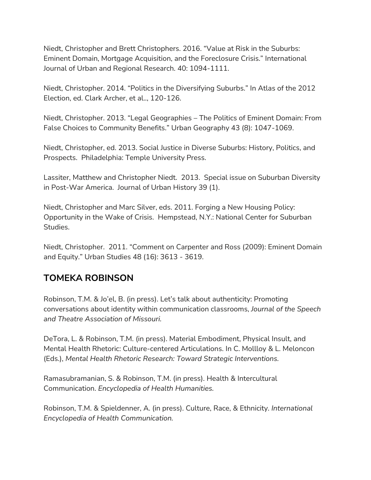Niedt, Christopher and Brett Christophers. 2016. "Value at Risk in the Suburbs: Eminent Domain, Mortgage Acquisition, and the Foreclosure Crisis." International Journal of Urban and Regional Research. 40: 1094-1111.

Niedt, Christopher. 2014. "Politics in the Diversifying Suburbs." In Atlas of the 2012 Election, ed. Clark Archer, et al.., 120-126.

Niedt, Christopher. 2013. "Legal Geographies – The Politics of Eminent Domain: From False Choices to Community Benefits." Urban Geography 43 (8): 1047-1069.

Niedt, Christopher, ed. 2013. Social Justice in Diverse Suburbs: History, Politics, and Prospects. Philadelphia: Temple University Press.

Lassiter, Matthew and Christopher Niedt. 2013. Special issue on Suburban Diversity in Post-War America. Journal of Urban History 39 (1).

Niedt, Christopher and Marc Silver, eds. 2011. Forging a New Housing Policy: Opportunity in the Wake of Crisis. Hempstead, N.Y.: National Center for Suburban Studies.

Niedt, Christopher. 2011. "Comment on Carpenter and Ross (2009): Eminent Domain and Equity." Urban Studies 48 (16): 3613 - 3619.

## **TOMEKA ROBINSON**

Robinson, T.M. & Jo'el, B. (in press). Let's talk about authenticity: Promoting conversations about identity within communication classrooms, *Journal of the Speech and Theatre Association of Missouri.*

DeTora, L. & Robinson, T.M. (in press). Material Embodiment, Physical Insult, and Mental Health Rhetoric: Culture-centered Articulations. In C. Mollloy & L. Meloncon (Eds.), *Mental Health Rhetoric Research: Toward Strategic Interventions.*

Ramasubramanian, S. & Robinson, T.M. (in press). Health & Intercultural Communication. *Encyclopedia of Health Humanities.*

Robinson, T.M. & Spieldenner, A. (in press). Culture, Race, & Ethnicity. *International Encyclopedia of Health Communication.*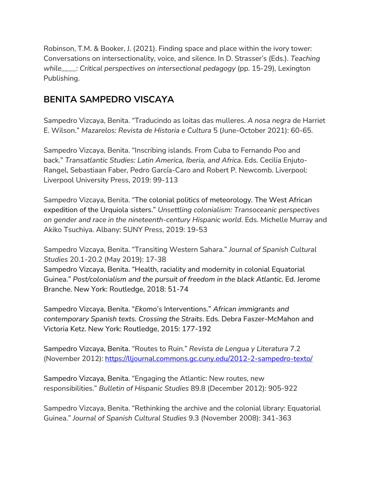Robinson, T.M. & Booker, J. (2021). Finding space and place within the ivory tower: Conversations on intersectionality, voice, and silence. In D. Strasser's (Eds.). *Teaching while\_\_\_\_: Critical perspectives on intersectional pedagogy* (pp. 15-29)*,* Lexington Publishing.

# **BENITA SAMPEDRO VISCAYA**

Sampedro Vizcaya, Benita. "Traducindo as loitas das mulleres. *A nosa negra* de Harriet E. Wilson." *Mazarelos: Revista de Historia e Cultura* 5 (June-October 2021): 60-65.

Sampedro Vizcaya, Benita. "Inscribing islands. From Cuba to Fernando Poo and back." *Transatlantic Studies: Latin America, Iberia, and Africa*. Eds. Cecilia Enjuto-Rangel, Sebastiaan Faber, Pedro García-Caro and Robert P. Newcomb*.* Liverpool: Liverpool University Press, 2019: 99-113

Sampedro Vizcaya, Benita. "The colonial politics of meteorology. The West African expedition of the Urquiola sisters." *Unsettling colonialism: Transoceanic perspectives on gender and race in the nineteenth-century Hispanic world*. Eds. Michelle Murray and Akiko Tsuchiya. Albany: SUNY Press, 2019: 19-53

Sampedro Vizcaya, Benita. "Transiting Western Sahara." *Journal of Spanish Cultural Studies* 20.1-20.2 (May 2019): 17-38 Sampedro Vizcaya, Benita. "Health, raciality and modernity in colonial Equatorial Guinea." *Post/colonialism and the pursuit of freedom in the black Atlantic*. Ed. Jerome Branche. New York: Routledge, 2018: 51-74

Sampedro Vizcaya, Benita. "*Ekomo*'s Interventions." *African immigrants and contemporary Spanish texts. Crossing the Straits*. Eds. Debra Faszer-McMahon and Victoria Ketz. New York: Routledge, 2015: 177-192

Sampedro Vizcaya, Benita. "Routes to Ruin." *Revista de Lengua y Literatura* 7.2 (November 2012): [https://lljournal.commons.gc.cuny.edu/2012-2-sampedro-texto/](https://nam04.safelinks.protection.outlook.com/?url=https%3A%2F%2Flljournal.commons.gc.cuny.edu%2F2012-2-sampedro-texto%2F&data=04%7C01%7CRaceCultureSocialJustice%40hofstra.edu%7C39aa815aa77a4585606808d9a165822e%7Ce32fc43d7c6246d9b49fcd53ba8d9424%7C0%7C0%7C637718279606498134%7CUnknown%7CTWFpbGZsb3d8eyJWIjoiMC4wLjAwMDAiLCJQIjoiV2luMzIiLCJBTiI6Ik1haWwiLCJXVCI6Mn0%3D%7C1000&sdata=0QevNV3WOHb2%2B%2B09WViB0j0wazDjEZ1U7JLiKZsyeng%3D&reserved=0)

Sampedro Vizcaya, Benita. "Engaging the Atlantic: New routes, new responsibilities." *Bulletin of Hispanic Studies* 89.8 (December 2012): 905-922

Sampedro Vizcaya, Benita. "Rethinking the archive and the colonial library: Equatorial Guinea." *Journal of Spanish Cultural Studies* 9.3 (November 2008): 341-363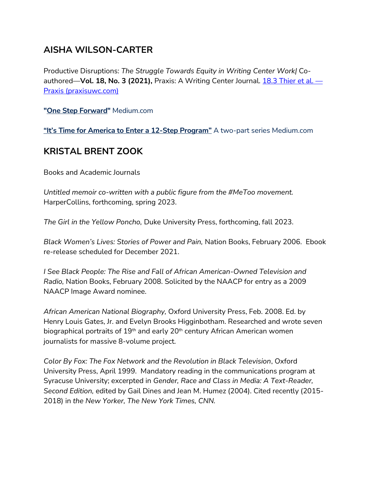### **AISHA WILSON-CARTER**

Productive Disruptions: *The Struggle Towards Equity in Writing Center Work|* Coauthored—**Vol. 18, No. 3 (2021),** Praxis: A Writing Center Journal. 18.3 [Thier](https://nam04.safelinks.protection.outlook.com/?url=http%3A%2F%2Fwww.praxisuwc.com%2F183-thier-et-al&data=04%7C01%7CRaceCultureSocialJustice%40hofstra.edu%7C1d522ef72f1c45a53fdf08d9be467823%7Ce32fc43d7c6246d9b49fcd53ba8d9424%7C0%7C0%7C637750032128772073%7CUnknown%7CTWFpbGZsb3d8eyJWIjoiMC4wLjAwMDAiLCJQIjoiV2luMzIiLCJBTiI6Ik1haWwiLCJXVCI6Mn0%3D%7C3000&sdata=Jzl%2BB1wnf1jYMApwOeYfquUDk0ocjkQhHYKSrfiuftc%3D&reserved=0) et al. — Praxis [\(praxisuwc.com\)](https://nam04.safelinks.protection.outlook.com/?url=http%3A%2F%2Fwww.praxisuwc.com%2F183-thier-et-al&data=04%7C01%7CRaceCultureSocialJustice%40hofstra.edu%7C1d522ef72f1c45a53fdf08d9be467823%7Ce32fc43d7c6246d9b49fcd53ba8d9424%7C0%7C0%7C637750032128772073%7CUnknown%7CTWFpbGZsb3d8eyJWIjoiMC4wLjAwMDAiLCJQIjoiV2luMzIiLCJBTiI6Ik1haWwiLCJXVCI6Mn0%3D%7C3000&sdata=Jzl%2BB1wnf1jYMApwOeYfquUDk0ocjkQhHYKSrfiuftc%3D&reserved=0)

**"One Step [Forward"](https://nam04.safelinks.protection.outlook.com/?url=https%3A%2F%2Faishawilsoncarter.medium.com%2Fone-step-forward-9e56994915d9%3Fsource%3Duser_profile---------0-------------------------------&data=04%7C01%7CRaceCultureSocialJustice%40hofstra.edu%7C1d522ef72f1c45a53fdf08d9be467823%7Ce32fc43d7c6246d9b49fcd53ba8d9424%7C0%7C0%7C637750032128772073%7CUnknown%7CTWFpbGZsb3d8eyJWIjoiMC4wLjAwMDAiLCJQIjoiV2luMzIiLCJBTiI6Ik1haWwiLCJXVCI6Mn0%3D%7C3000&sdata=ydFvRgEqAcMUe%2B9i5BEHjdZc5aFiej1dTXAZiMuh%2FNI%3D&reserved=0)** Medium.com

**"It's Time for America to Enter a 12-Step [Program"](https://nam04.safelinks.protection.outlook.com/?url=https%3A%2F%2Faishawilsoncarter.medium.com%2Fits-time-for-america-to-enter-a-12-step-program-fbdcc74806c4%3Fsource%3Duser_profile---------1-------------------------------&data=04%7C01%7CRaceCultureSocialJustice%40hofstra.edu%7C1d522ef72f1c45a53fdf08d9be467823%7Ce32fc43d7c6246d9b49fcd53ba8d9424%7C0%7C0%7C637750032128772073%7CUnknown%7CTWFpbGZsb3d8eyJWIjoiMC4wLjAwMDAiLCJQIjoiV2luMzIiLCJBTiI6Ik1haWwiLCJXVCI6Mn0%3D%7C3000&sdata=A%2FSRWK%2BpLYV2A88OzSF8Y7wTVt4yvDCht5LY6RKf1LQ%3D&reserved=0)** A two-part series Medium.com

#### **KRISTAL BRENT ZOOK**

Books and Academic Journals

*Untitled memoir co-written with a public figure from the #MeToo movement.*  HarperCollins, forthcoming, spring 2023.

*The Girl in the Yellow Poncho,* Duke University Press, forthcoming, fall 2023.

*Black Women's Lives: Stories of Power and Pain,* Nation Books, February 2006. Ebook re-release scheduled for December 2021.

*I* See Black People: The Rise and Fall of African American-Owned Television and *Radio,* Nation Books, February 2008. Solicited by the NAACP for entry as a 2009 NAACP Image Award nominee.

*African American National Biography,* Oxford University Press, Feb. 2008. Ed. by Henry Louis Gates, Jr. and Evelyn Brooks Higginbotham. Researched and wrote seven biographical portraits of 19<sup>th</sup> and early 20<sup>th</sup> century African American women journalists for massive 8-volume project.

*Color By Fox: The Fox Network and the Revolution in Black Television*, Oxford University Press, April 1999. Mandatory reading in the communications program at Syracuse University; excerpted in *Gender, Race and Class in Media: A Text-Reader, Second Edition,* edited by Gail Dines and Jean M. Humez (2004). Cited recently (2015- 2018) in *the New Yorker, The New York Times, CNN.*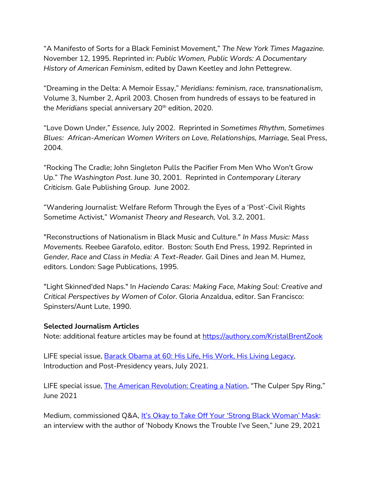"A Manifesto of Sorts for a Black Feminist Movement," *The New York Times Magazine.* November 12, 1995. Reprinted in: *Public Women, Public Words: A Documentary History of American Feminism*, edited by Dawn Keetley and John Pettegrew.

"Dreaming in the Delta: A Memoir Essay," *Meridians: feminism, race, transnationalism*, Volume 3, Number 2, April 2003. Chosen from hundreds of essays to be featured in the *Meridians* special anniversary 20th edition, 2020.

"Love Down Under," *Essence,* July 2002. Reprinted in *Sometimes Rhythm, Sometimes Blues: African-American Women Writers on Love, Relationships, Marriage,* Seal Press, 2004.

"Rocking The Cradle; John Singleton Pulls the Pacifier From Men Who Won't Grow Up." *The Washington Post*. June 30, 2001. Reprinted in *Contemporary Literary Criticism.* Gale Publishing Group. June 2002.

"Wandering Journalist: Welfare Reform Through the Eyes of a 'Post'-Civil Rights Sometime Activist," *Womanist Theory and Research,* Vol. 3.2, 2001.

"Reconstructions of Nationalism in Black Music and Culture." *In Mass Music: Mass Movements.* Reebee Garafolo, editor. Boston: South End Press, 1992. Reprinted in *Gender, Race and Class in Media: A Text-Reader.* Gail Dines and Jean M. Humez, editors. London: Sage Publications, 1995.

"Light Skinned'ded Naps." In *Haciendo Caras: Making Face, Making Soul: Creative and Critical Perspectives by Women of Color*. Gloria Anzaldua, editor. San Francisco: Spinsters/Aunt Lute, 1990.

#### **Selected Journalism Articles**

Note: additional feature articles may be found at<https://authory.com/KristalBrentZook>

LIFE special issue, [Barack Obama at 60: His Life, His Work, His Living Legacy,](https://www.amazon.com/LIFE-Barack-Obama-Living-Legacy/dp/1547857455/ref=sr_1_3?dchild=1&keywords=LIFE+barack+obama&qid=1626961305&s=books&sr=1-3) Introduction and Post-Presidency years, July 2021.

LIFE special issue, **The American Revolution: Creating a Nation**, "The Culper Spy Ring," June 2021

Medium, commissioned Q&A, [It's Okay to Take Off Your 'Strong Black Woman' Mask](https://zora.medium.com/its-ok-to-take-off-your-strong-black-woman-mask-be83502852c2): an interview with the author of 'Nobody Knows the Trouble I've Seen," June 29, 2021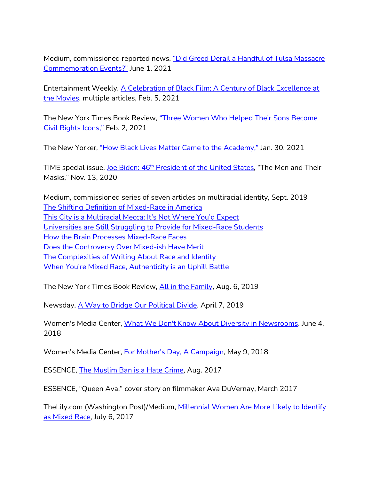Medium, commissioned reported news, ["Did Greed Derail a Handful of Tulsa Massacre](https://authory.com/KristalBrentZook/Did-Greed-Derail-a-Handful-of-Tulsa-Massacre-Commemoration-Events)  [Commemoration Events?"](https://authory.com/KristalBrentZook/Did-Greed-Derail-a-Handful-of-Tulsa-Massacre-Commemoration-Events) June 1, 2021

Entertainment Weekly, A Celebration of Black Film: A Century of Black Excellence at [the Movies,](https://www.amazon.com/Celebration-Black-Editors-Entertainment-Weekly/dp/1547856637/ref=sr_1_2?crid=4VRNEFH50FPT&dchild=1&keywords=entertainment+weekly+black+film&qid=1635170207&s=books&sprefix=entertainment+weekly+black+film%2Cstripbooks%2C55&sr=1-2) multiple articles, Feb. 5, 2021

The New York Times Book Review, "Three Women Who Helped Their Sons Become [Civil Rights Icons,"](https://www.nytimes.com/2021/02/02/books/review/the-three-mothers-anna-malaika-tubbs.html?searchResultPosition=3) Feb. 2, 2021

The New Yorker, ["How Black Lives Matter Came to the Academy,"](https://www.newyorker.com/news/the-political-scene/how-black-lives-matter-came-to-the-academy) Jan. 30, 2021

TIME special issue, Joe Biden: 46<sup>th</sup> [President of the United States](https://www.amazon.com/TIME-Joe-Biden-President-United/dp/1547854537), "The Men and Their Masks," Nov. 13, 2020

Medium, commissioned series of seven articles on multiracial identity, Sept. 2019 [The Shifting Definition of Mixed-Race in America](https://zora.medium.com/the-shifting-definition-of-mixed-race-in-america-2b1350f7beae) [This City is a Multiracial Mecca: It's Not Where You'd Expect](https://zora.medium.com/does-the-controversy-over-mixed-ish-have-merit-2b57e06255e1) [Universities are Still Struggling to Provide for Mixed-Race Students](https://zora.medium.com/universities-are-still-struggling-to-provide-for-mixed-race-students-d291d89c5b60) [How the Brain Processes Mixed-Race Faces](https://zora.medium.com/how-the-brain-processes-mixed-race-faces-fc83b242f08e) [Does the Controversy Over Mixed-ish Have Merit](https://zora.medium.com/does-the-controversy-over-mixed-ish-have-merit-2b57e06255e1) [The Complexities of Writing About Race and Identity](https://zora.medium.com/does-the-controversy-over-mixed-ish-have-merit-2b57e06255e1) [When You're Mixed Race, Authenticity is an Uphill Battle](https://zora.medium.com/when-youre-mixed-race-authenticity-is-an-uphill-battle-23e5120bc131)

The New York Times Book Review, [All in the Family,](https://www.nytimes.com/2019/08/06/books/review/in-the-country-of-women-susan-straight.html) Aug. 6, 2019

Newsday, [A Way to Bridge Our Political Divide,](https://www.newsday.com/opinion/commentary/brent-zook-memoir-hofstra-forgiveness-1.29426460) April 7, 2019

Women's Media Center, [What We Don't Know About Diversity in Newsrooms,](http://www.womensmediacenter.com/news-features/what-we-dont-know-about-diversity-in-newsrooms) June 4, 2018

Women's Media Center, [For Mother's Day, A Campaign,](http://www.womensmediacenter.com/news-features/for-mothers-day-campaign-aims-to-bail-out-moms-jailed-in-an-unjust-system) May 9, 2018

ESSENCE, [The Muslim Ban is a Hate Crime,](https://www.essence.com/news/politics/trump-travel-ban-black-muslims/) Aug. 2017

ESSENCE, "Queen Ava," cover story on filmmaker Ava DuVernay, March 2017

TheLily.com (Washington Post)/Medium, Millennial Women Are More Likely to Identify [as Mixed Race,](https://medium.com/the-lily/millennial-women-are-more-likely-to-identify-as-mixed-race-14faca178e9a) July 6, 2017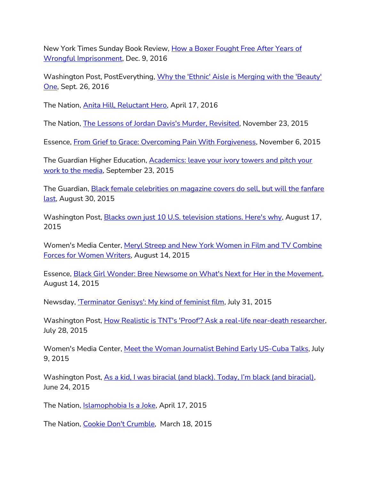New York Times Sunday Book Review, How a Boxer Fought Free After Years of [Wrongful Imprisonment,](https://www.nytimes.com/2016/12/09/books/review/stand-tall-dewey-bozella-tamara-jones.html?_r=0&fbclid=IwAR3W-o1gMmlmej1HSk56mdwFpquKtfrDhmNHMCv8h_D4rjVGaSe61esATR0) Dec. 9, 2016

Washington Post, PostEverything, [Why the 'Ethnic' Aisle is Merging with the 'Beauty'](https://www.washingtonpost.com/posteverything/wp/2016/09/26/why-the-ethnic-aisle-is-merging-with-the-beauty-one/?fbclid=IwAR1GRYZru8lKwo6pTTJlTdHCs3cYDGWZgNrDCfaZzT2iYQ-NYtO-QrhtRCE&utm_term=.418a449160e9)  [One,](https://www.washingtonpost.com/posteverything/wp/2016/09/26/why-the-ethnic-aisle-is-merging-with-the-beauty-one/?fbclid=IwAR1GRYZru8lKwo6pTTJlTdHCs3cYDGWZgNrDCfaZzT2iYQ-NYtO-QrhtRCE&utm_term=.418a449160e9) Sept. 26, 2016

The Nation, [Anita Hill, Reluctant Hero,](http://www.thenation.com/article/anita-hill-reluctant-hero/) April 17, 2016

The Nation, [The Lessons of Jordan Davis's Murder, Revisited,](http://www.thenation.com/article/the-lessons-of-jordan-daviss-murder-revisited/) November 23, 2015

Essence, [From Grief to Grace: Overcoming Pain With Forgiveness,](http://www.essence.com/2015/11/06/grief-grace-overcoming-pain-forgiveness) November 6, 2015

The Guardian Higher Education, [Academics: leave your ivory towers and pitch your](http://www.theguardian.com/higher-education-network/2015/sep/23/academics-leave-your-ivory-towers-and-pitch-your-work-to-the-media)  [work to the media,](http://www.theguardian.com/higher-education-network/2015/sep/23/academics-leave-your-ivory-towers-and-pitch-your-work-to-the-media) September 23, 2015

The Guardian, [Black female celebrities on magazine covers do sell, but will the fanfare](http://www.theguardian.com/media/2015/aug/30/black-female-celebrities-september-magazine-covers)  [last,](http://www.theguardian.com/media/2015/aug/30/black-female-celebrities-september-magazine-covers) August 30, 2015

Washington Post, [Blacks own just 10 U.S. television stations. Here's why,](https://www.washingtonpost.com/posteverything/wp/2015/08/17/blacks-own-just-10-u-s-television-stations-heres-why/) August 17, 2015

Women's Media Center, [Meryl Streep and New York Women in Film and TV Combine](http://www.womensmediacenter.com/feature/entry/meryl-streep-and-new-york-women-in-film-tv-combine-forces-for-women-writers)  [Forces for Women Writers,](http://www.womensmediacenter.com/feature/entry/meryl-streep-and-new-york-women-in-film-tv-combine-forces-for-women-writers) August 14, 2015

Essence, [Black Girl Wonder: Bree Newsome on What's Next for Her in the Movement,](http://www.essence.com/2015/08/14/black-girl-wonder-bree-newsome-whats-next-her-movement) August 14, 2015

Newsday, *Terminator Genisys': My kind of feminist film*, July 31, 2015

Washington Post, [How Realistic is TNT's 'Proof'? Ask a real-life near-death researcher,](http://www.washingtonpost.com/lifestyle/style/how-realistic-is-tnts-proof-ask-a-real-life-near-death-researcher/2015/07/28/7abe233e-3247-11e5-97ae-30a30cca95d7_story.html) July 28, 2015

Women's Media Center, [Meet the Woman Journalist Behind Early US-Cuba Talks,](http://www.womensmediacenter.com/feature/entry/meet-the-woman-journalist-behind-early-us-cuba-talks) July 9, 2015

Washington Post, [As a kid, I was biracial \(and black\). Today, I'm black \(and biracial\)](http://www.washingtonpost.com/posteverything/wp/2015/06/24/as-i-kid-i-was-biracial-today-im-black/), June 24, 2015

The Nation, [Islamophobia Is a Joke,](http://www.thenation.com/article/204633/islamaphobia-joke) April 17, 2015

The Nation, [Cookie Don't Crumble,](http://www.thenation.com/article/201673/cookie-dont-crumble) March 18, 2015